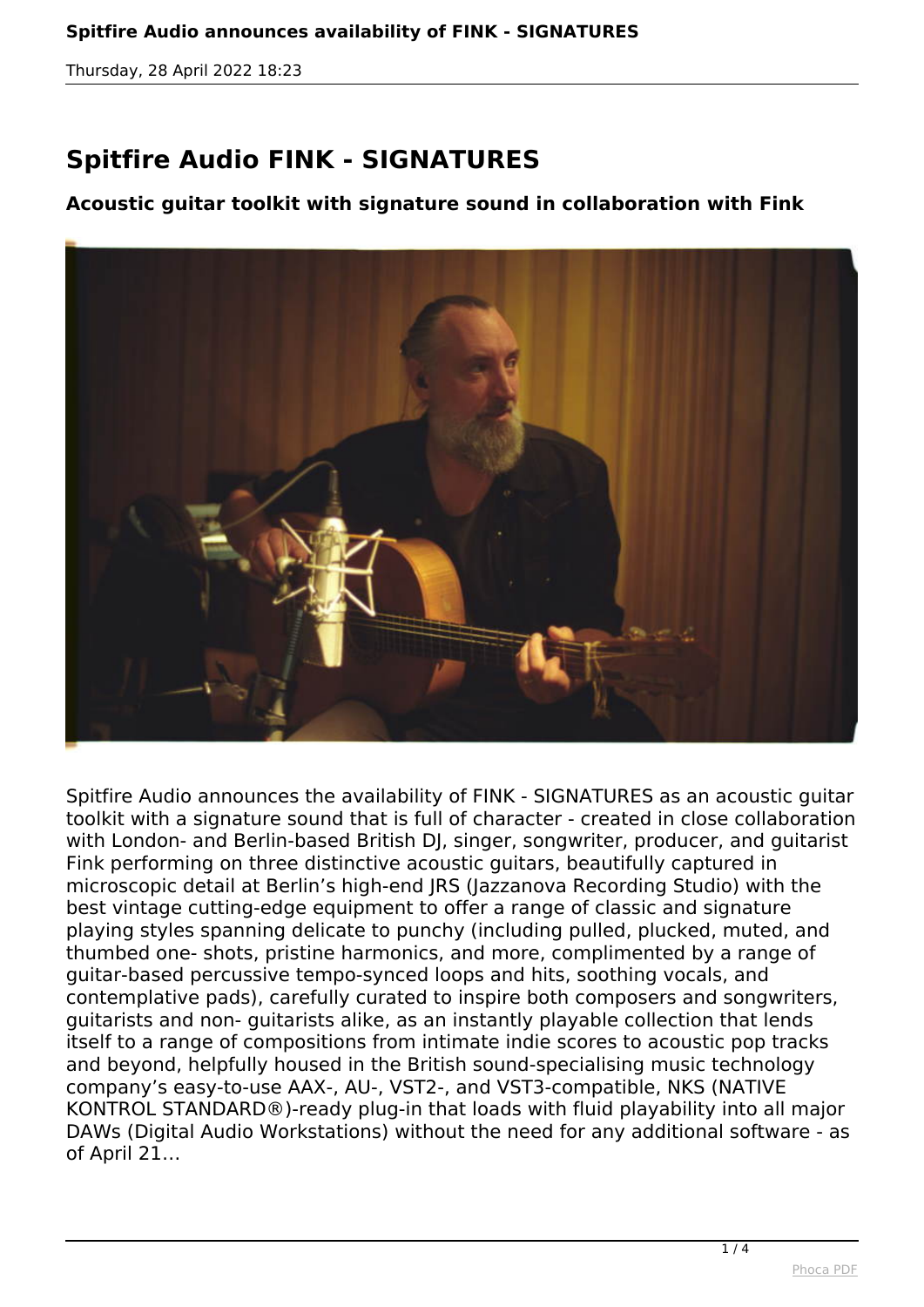## **Spitfire Audio FINK - SIGNATURES**

## **Acoustic guitar toolkit with signature sound in collaboration with Fink**



*Spitfire Audio announces the availability of FINK - SIGNATURES as an acoustic guitar toolkit with a signature sound that is full of character - created in close collaboration with London- and Berlin-based British DJ, singer, songwriter, producer, and guitarist Fink performing on three distinctive acoustic guitars, beautifully captured in microscopic detail at Berlin's high-end JRS (Jazzanova Recording Studio) with the best vintage cutting-edge equipment to offer a range of classic and signature playing styles spanning delicate to punchy (including pulled, plucked, muted, and thumbed one- shots, pristine harmonics, and more, complimented by a range of guitar-based percussive tempo-synced loops and hits, soothing vocals, and contemplative pads), carefully curated to inspire both composers and songwriters, guitarists and non- guitarists alike, as an instantly playable collection that lends itself to a range of compositions from intimate indie scores to acoustic pop tracks and beyond, helpfully housed in the British sound-specialising music technology company's easy-to-use AAX-, AU-, VST2-, and VST3-compatible, NKS (NATIVE KONTROL STANDARD®)-ready plug-in that loads with fluid playability into all major DAWs (Digital Audio Workstations) without the need for any additional software - as of April 21…*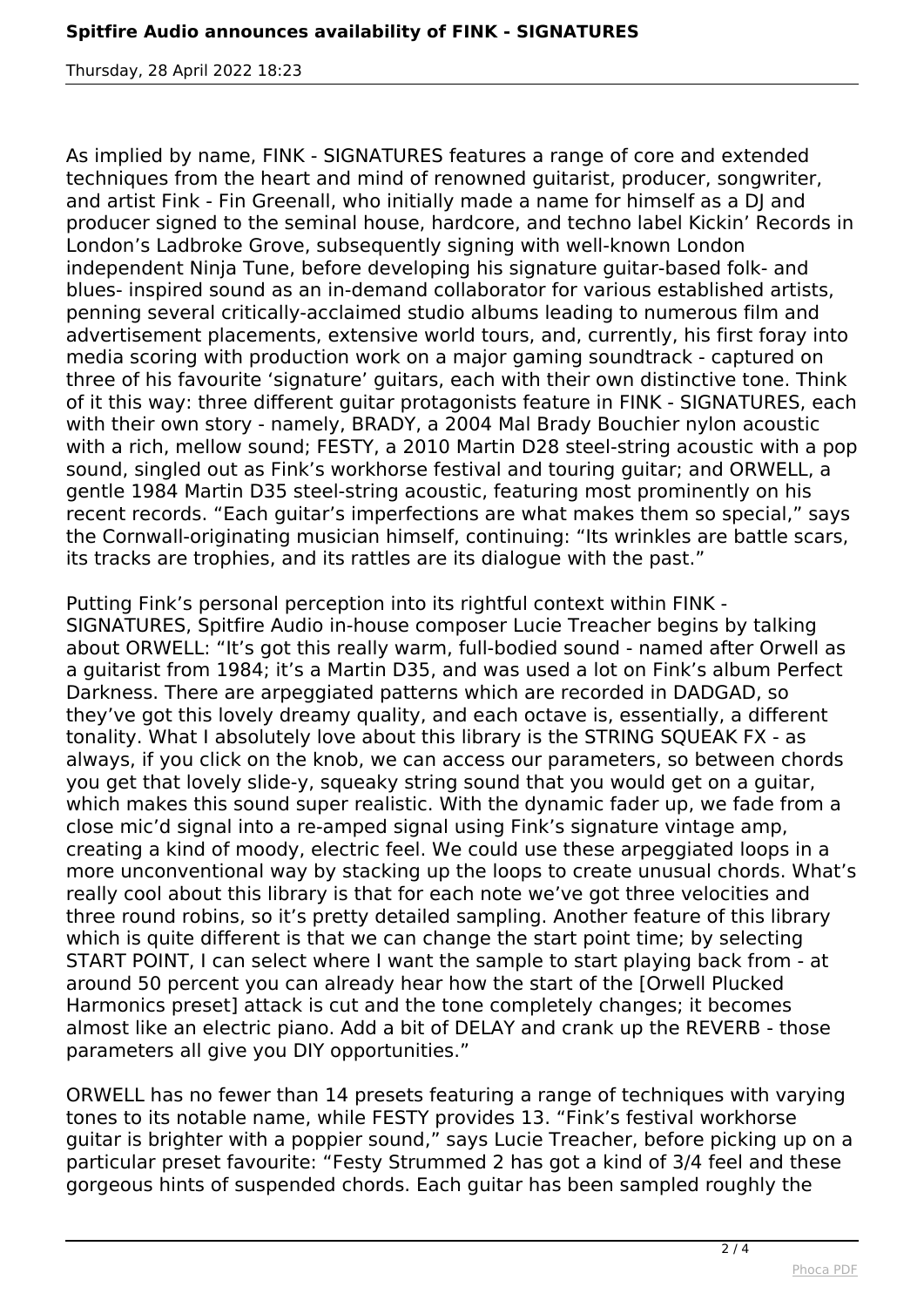*As implied by name, FINK - SIGNATURES features a range of core and extended techniques from the heart and mind of renowned guitarist, producer, songwriter, and artist Fink - Fin Greenall, who initially made a name for himself as a DJ and producer signed to the seminal house, hardcore, and techno label Kickin' Records in London's Ladbroke Grove, subsequently signing with well-known London independent Ninja Tune, before developing his signature guitar-based folk- and blues- inspired sound as an in-demand collaborator for various established artists, penning several critically-acclaimed studio albums leading to numerous film and advertisement placements, extensive world tours, and, currently, his first foray into media scoring with production work on a major gaming soundtrack - captured on three of his favourite 'signature' guitars, each with their own distinctive tone. Think of it this way: three different guitar protagonists feature in FINK - SIGNATURES, each with their own story - namely, BRADY, a 2004 Mal Brady Bouchier nylon acoustic with a rich, mellow sound; FESTY, a 2010 Martin D28 steel-string acoustic with a pop sound, singled out as Fink's workhorse festival and touring guitar; and ORWELL, a gentle 1984 Martin D35 steel-string acoustic, featuring most prominently on his recent records. "Each guitar's imperfections are what makes them so special," says the Cornwall-originating musician himself, continuing: "Its wrinkles are battle scars, its tracks are trophies, and its rattles are its dialogue with the past."*

*Putting Fink's personal perception into its rightful context within FINK - SIGNATURES, Spitfire Audio in-house composer Lucie Treacher begins by talking about ORWELL: "It's got this really warm, full-bodied sound - named after Orwell as a guitarist from 1984; it's a Martin D35, and was used a lot on Fink's album Perfect Darkness. There are arpeggiated patterns which are recorded in DADGAD, so they've got this lovely dreamy quality, and each octave is, essentially, a different tonality. What I absolutely love about this library is the STRING SQUEAK FX - as always, if you click on the knob, we can access our parameters, so between chords you get that lovely slide-y, squeaky string sound that you would get on a guitar, which makes this sound super realistic. With the dynamic fader up, we fade from a close mic'd signal into a re-amped signal using Fink's signature vintage amp, creating a kind of moody, electric feel. We could use these arpeggiated loops in a more unconventional way by stacking up the loops to create unusual chords. What's really cool about this library is that for each note we've got three velocities and three round robins, so it's pretty detailed sampling. Another feature of this library which is quite different is that we can change the start point time; by selecting START POINT, I can select where I want the sample to start playing back from - at around 50 percent you can already hear how the start of the [Orwell Plucked Harmonics preset] attack is cut and the tone completely changes; it becomes almost like an electric piano. Add a bit of DELAY and crank up the REVERB - those parameters all give you DIY opportunities."*

*ORWELL has no fewer than 14 presets featuring a range of techniques with varying tones to its notable name, while FESTY provides 13. "Fink's festival workhorse guitar is brighter with a poppier sound," says Lucie Treacher, before picking up on a particular preset favourite: "Festy Strummed 2 has got a kind of 3/4 feel and these gorgeous hints of suspended chords. Each guitar has been sampled roughly the*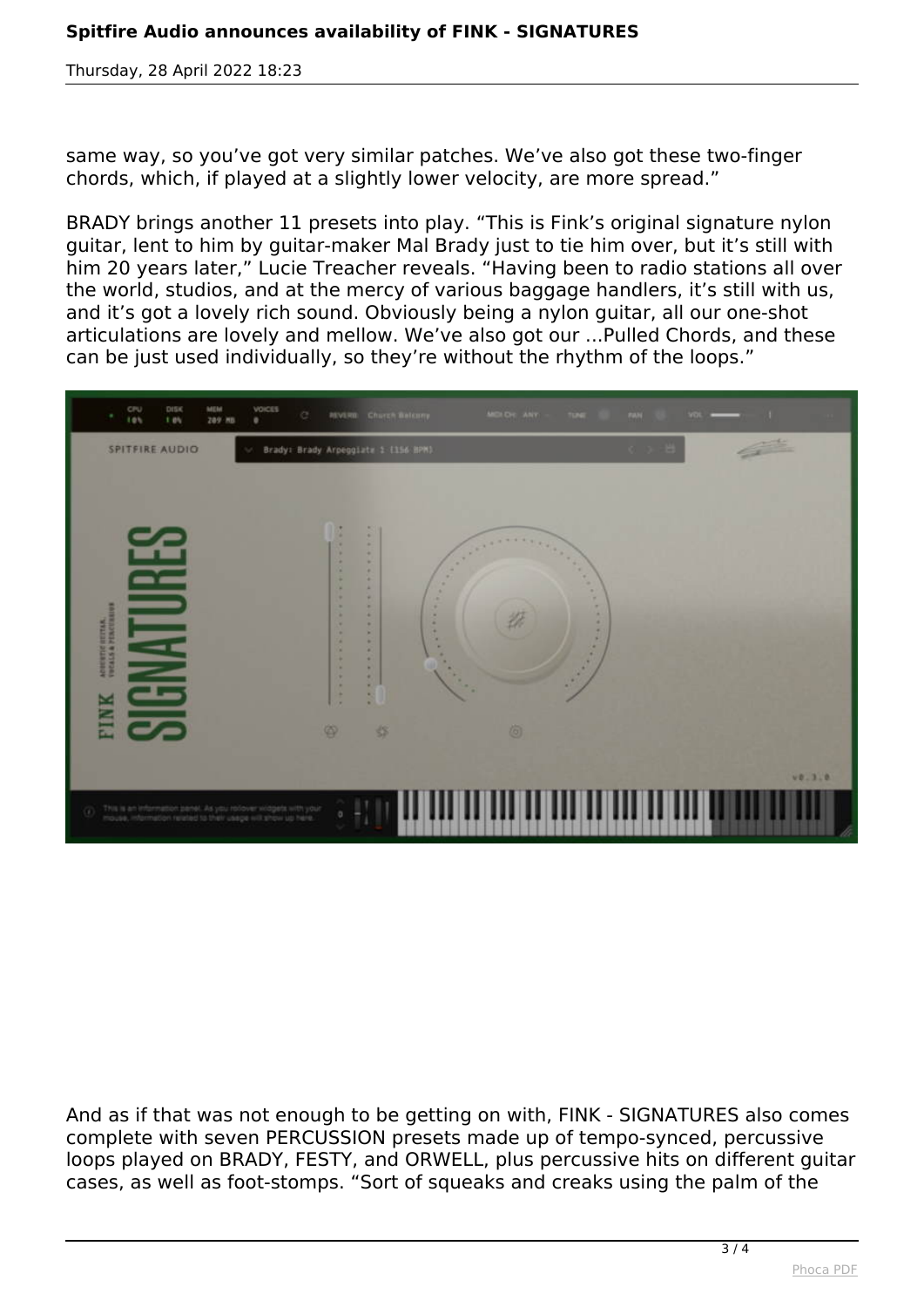*same way, so you've got very similar patches. We've also got these two-finger chords, which, if played at a slightly lower velocity, are more spread."*

*BRADY brings another 11 presets into play. "This is Fink's original signature nylon guitar, lent to him by guitar-maker Mal Brady just to tie him over, but it's still with him 20 years later," Lucie Treacher reveals. "Having been to radio stations all over the world, studios, and at the mercy of various baggage handlers, it's still with us, and it's got a lovely rich sound. Obviously being a nylon guitar, all our one-shot articulations are lovely and mellow. We've also got our ...Pulled Chords, and these can be just used individually, so they're without the rhythm of the loops."*



*And as if that was not enough to be getting on with, FINK - SIGNATURES also comes complete with seven PERCUSSION presets made up of tempo-synced, percussive loops played on BRADY, FESTY, and ORWELL, plus percussive hits on different guitar cases, as well as foot-stomps. "Sort of squeaks and creaks using the palm of the*